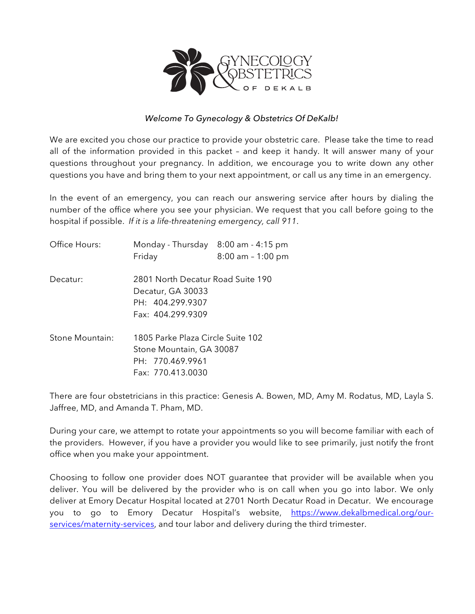

### *Welcome To Gynecology & Obstetrics Of DeKalb!*

We are excited you chose our practice to provide your obstetric care. Please take the time to read all of the information provided in this packet – and keep it handy. It will answer many of your questions throughout your pregnancy. In addition, we encourage you to write down any other questions you have and bring them to your next appointment, or call us any time in an emergency.

In the event of an emergency, you can reach our answering service after hours by dialing the number of the office where you see your physician. We request that you call before going to the hospital if possible. *If it is a life-threatening emergency, call 911*.

| Office Hours:   | Monday - Thursday 8:00 am - 4:15 pm<br>Friday                                                   | $8:00$ am - 1:00 pm                                           |  |
|-----------------|-------------------------------------------------------------------------------------------------|---------------------------------------------------------------|--|
| Decatur:        | 2801 North Decatur Road Suite 190<br>Decatur, GA 30033<br>PH: 404.299.9307<br>Fax: 404.299.9309 |                                                               |  |
| Stone Mountain: | PH: 770.469.9961<br>Fax: 770.413.0030                                                           | 1805 Parke Plaza Circle Suite 102<br>Stone Mountain, GA 30087 |  |

There are four obstetricians in this practice: Genesis A. Bowen, MD, Amy M. Rodatus, MD, Layla S. Jaffree, MD, and Amanda T. Pham, MD.

During your care, we attempt to rotate your appointments so you will become familiar with each of the providers. However, if you have a provider you would like to see primarily, just notify the front office when you make your appointment.

Choosing to follow one provider does NOT guarantee that provider will be available when you deliver. You will be delivered by the provider who is on call when you go into labor. We only deliver at Emory Decatur Hospital located at 2701 North Decatur Road in Decatur. We encourage you to go to Emory Decatur Hospital's website, https://www.dekalbmedical.org/ourservices/maternity-services, and tour labor and delivery during the third trimester.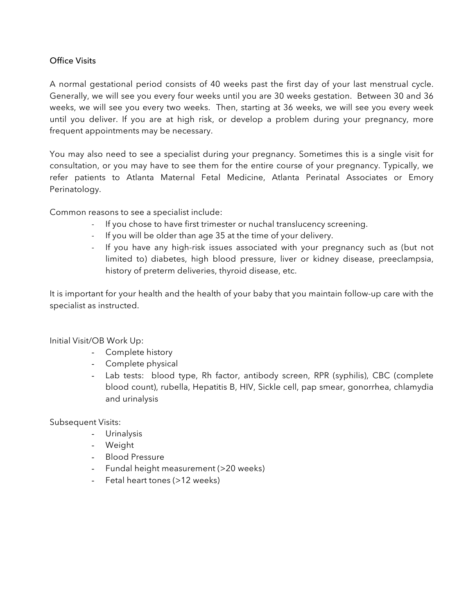## Office Visits

A normal gestational period consists of 40 weeks past the first day of your last menstrual cycle. Generally, we will see you every four weeks until you are 30 weeks gestation. Between 30 and 36 weeks, we will see you every two weeks. Then, starting at 36 weeks, we will see you every week until you deliver. If you are at high risk, or develop a problem during your pregnancy, more frequent appointments may be necessary.

You may also need to see a specialist during your pregnancy. Sometimes this is a single visit for consultation, or you may have to see them for the entire course of your pregnancy. Typically, we refer patients to Atlanta Maternal Fetal Medicine, Atlanta Perinatal Associates or Emory Perinatology.

Common reasons to see a specialist include:

- If you chose to have first trimester or nuchal translucency screening.
- If you will be older than age 35 at the time of your delivery.
- If you have any high-risk issues associated with your pregnancy such as (but not limited to) diabetes, high blood pressure, liver or kidney disease, preeclampsia, history of preterm deliveries, thyroid disease, etc.

It is important for your health and the health of your baby that you maintain follow-up care with the specialist as instructed.

#### Initial Visit/OB Work Up:

- Complete history
- Complete physical
- Lab tests: blood type, Rh factor, antibody screen, RPR (syphilis), CBC (complete blood count), rubella, Hepatitis B, HIV, Sickle cell, pap smear, gonorrhea, chlamydia and urinalysis

Subsequent Visits:

- Urinalysis
- Weight
- Blood Pressure
- Fundal height measurement (>20 weeks)
- Fetal heart tones (>12 weeks)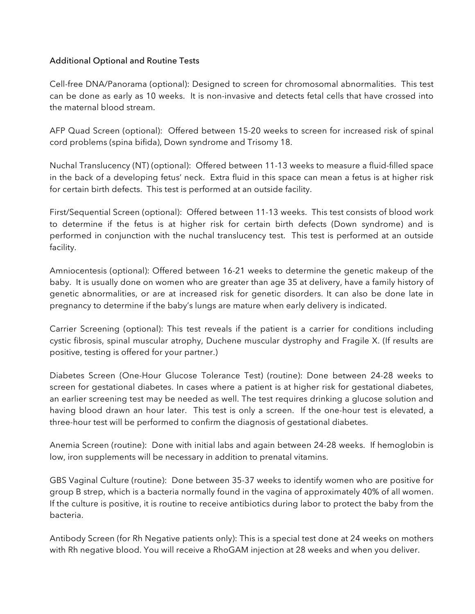## Additional Optional and Routine Tests

Cell-free DNA/Panorama (optional): Designed to screen for chromosomal abnormalities. This test can be done as early as 10 weeks. It is non-invasive and detects fetal cells that have crossed into the maternal blood stream.

AFP Quad Screen (optional): Offered between 15-20 weeks to screen for increased risk of spinal cord problems (spina bifida), Down syndrome and Trisomy 18.

Nuchal Translucency (NT) (optional): Offered between 11-13 weeks to measure a fluid-filled space in the back of a developing fetus' neck. Extra fluid in this space can mean a fetus is at higher risk for certain birth defects. This test is performed at an outside facility.

First/Sequential Screen (optional): Offered between 11-13 weeks. This test consists of blood work to determine if the fetus is at higher risk for certain birth defects (Down syndrome) and is performed in conjunction with the nuchal translucency test. This test is performed at an outside facility.

Amniocentesis (optional): Offered between 16-21 weeks to determine the genetic makeup of the baby. It is usually done on women who are greater than age 35 at delivery, have a family history of genetic abnormalities, or are at increased risk for genetic disorders. It can also be done late in pregnancy to determine if the baby's lungs are mature when early delivery is indicated.

Carrier Screening (optional): This test reveals if the patient is a carrier for conditions including cystic fibrosis, spinal muscular atrophy, Duchene muscular dystrophy and Fragile X. (If results are positive, testing is offered for your partner.)

Diabetes Screen (One-Hour Glucose Tolerance Test) (routine): Done between 24-28 weeks to screen for gestational diabetes. In cases where a patient is at higher risk for gestational diabetes, an earlier screening test may be needed as well. The test requires drinking a glucose solution and having blood drawn an hour later. This test is only a screen. If the one-hour test is elevated, a three-hour test will be performed to confirm the diagnosis of gestational diabetes.

Anemia Screen (routine): Done with initial labs and again between 24-28 weeks. If hemoglobin is low, iron supplements will be necessary in addition to prenatal vitamins.

GBS Vaginal Culture (routine): Done between 35-37 weeks to identify women who are positive for group B strep, which is a bacteria normally found in the vagina of approximately 40% of all women. If the culture is positive, it is routine to receive antibiotics during labor to protect the baby from the bacteria.

Antibody Screen (for Rh Negative patients only): This is a special test done at 24 weeks on mothers with Rh negative blood. You will receive a RhoGAM injection at 28 weeks and when you deliver.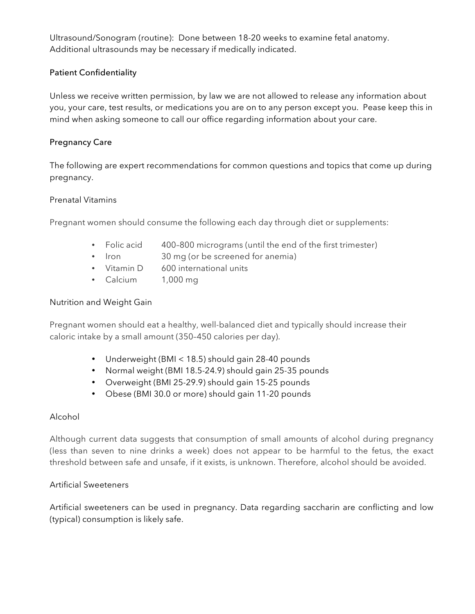Ultrasound/Sonogram (routine): Done between 18-20 weeks to examine fetal anatomy. Additional ultrasounds may be necessary if medically indicated.

# Patient Confidentiality

Unless we receive written permission, by law we are not allowed to release any information about you, your care, test results, or medications you are on to any person except you. Pease keep this in mind when asking someone to call our office regarding information about your care.

# Pregnancy Care

The following are expert recommendations for common questions and topics that come up during pregnancy.

## Prenatal Vitamins

Pregnant women should consume the following each day through diet or supplements:

- Folic acid 400–800 micrograms (until the end of the first trimester)
- Iron 30 mg (or be screened for anemia)
- Vitamin D 600 international units
- Calcium 1,000 mg

## Nutrition and Weight Gain

Pregnant women should eat a healthy, well-balanced diet and typically should increase their caloric intake by a small amount (350–450 calories per day).

- Underweight (BMI < 18.5) should gain 28-40 pounds
- Normal weight (BMI 18.5-24.9) should gain 25-35 pounds
- Overweight (BMI 25-29.9) should gain 15-25 pounds
- Obese (BMI 30.0 or more) should gain 11-20 pounds

## Alcohol

Although current data suggests that consumption of small amounts of alcohol during pregnancy (less than seven to nine drinks a week) does not appear to be harmful to the fetus, the exact threshold between safe and unsafe, if it exists, is unknown. Therefore, alcohol should be avoided.

## Artificial Sweeteners

Artificial sweeteners can be used in pregnancy. Data regarding saccharin are conflicting and low (typical) consumption is likely safe.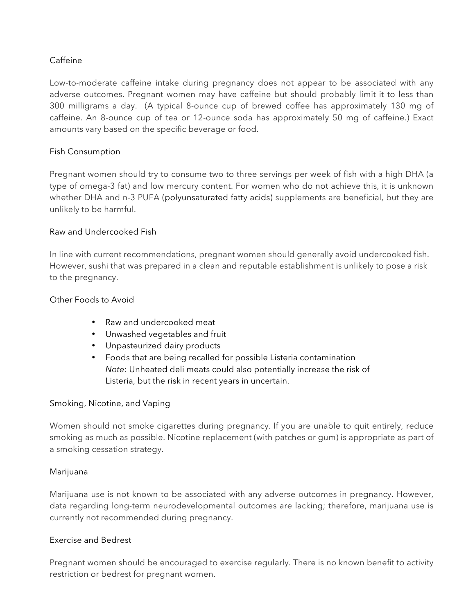# Caffeine

Low-to-moderate caffeine intake during pregnancy does not appear to be associated with any adverse outcomes. Pregnant women may have caffeine but should probably limit it to less than 300 milligrams a day. (A typical 8-ounce cup of brewed coffee has approximately 130 mg of caffeine. An 8-ounce cup of tea or 12-ounce soda has approximately 50 mg of caffeine.) Exact amounts vary based on the specific beverage or food.

## Fish Consumption

Pregnant women should try to consume two to three servings per week of fish with a high DHA (a type of omega-3 fat) and low mercury content. For women who do not achieve this, it is unknown whether DHA and n-3 PUFA (polyunsaturated fatty acids) supplements are beneficial, but they are unlikely to be harmful.

## Raw and Undercooked Fish

In line with current recommendations, pregnant women should generally avoid undercooked fish. However, sushi that was prepared in a clean and reputable establishment is unlikely to pose a risk to the pregnancy.

### Other Foods to Avoid

- Raw and undercooked meat
- Unwashed vegetables and fruit
- Unpasteurized dairy products
- Foods that are being recalled for possible Listeria contamination *Note:* Unheated deli meats could also potentially increase the risk of Listeria, but the risk in recent years in uncertain.

#### Smoking, Nicotine, and Vaping

Women should not smoke cigarettes during pregnancy. If you are unable to quit entirely, reduce smoking as much as possible. Nicotine replacement (with patches or gum) is appropriate as part of a smoking cessation strategy.

#### Marijuana

Marijuana use is not known to be associated with any adverse outcomes in pregnancy. However, data regarding long-term neurodevelopmental outcomes are lacking; therefore, marijuana use is currently not recommended during pregnancy.

#### Exercise and Bedrest

Pregnant women should be encouraged to exercise regularly. There is no known benefit to activity restriction or bedrest for pregnant women.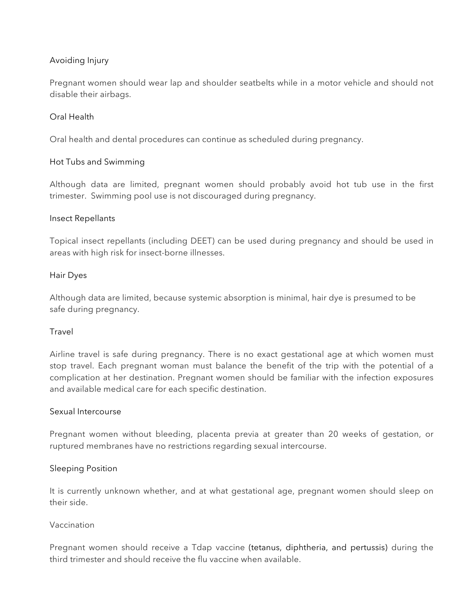# Avoiding Injury

Pregnant women should wear lap and shoulder seatbelts while in a motor vehicle and should not disable their airbags.

# Oral Health

Oral health and dental procedures can continue as scheduled during pregnancy.

## Hot Tubs and Swimming

Although data are limited, pregnant women should probably avoid hot tub use in the first trimester. Swimming pool use is not discouraged during pregnancy.

#### Insect Repellants

Topical insect repellants (including DEET) can be used during pregnancy and should be used in areas with high risk for insect-borne illnesses.

## Hair Dyes

Although data are limited, because systemic absorption is minimal, hair dye is presumed to be safe during pregnancy.

#### Travel

Airline travel is safe during pregnancy. There is no exact gestational age at which women must stop travel. Each pregnant woman must balance the benefit of the trip with the potential of a complication at her destination. Pregnant women should be familiar with the infection exposures and available medical care for each specific destination.

#### Sexual Intercourse

Pregnant women without bleeding, placenta previa at greater than 20 weeks of gestation, or ruptured membranes have no restrictions regarding sexual intercourse.

#### Sleeping Position

It is currently unknown whether, and at what gestational age, pregnant women should sleep on their side.

### Vaccination

Pregnant women should receive a Tdap vaccine (tetanus, diphtheria, and pertussis) during the third trimester and should receive the flu vaccine when available.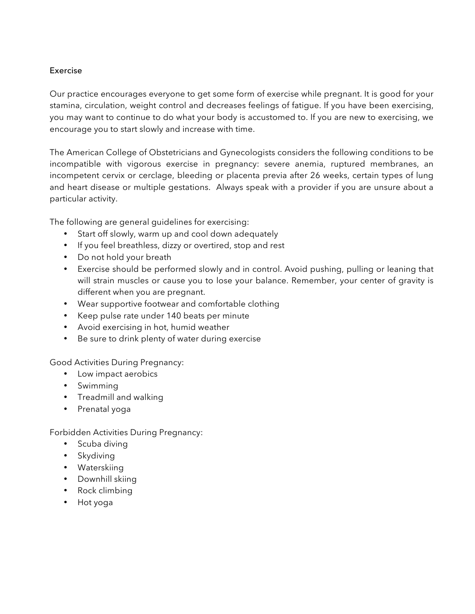## Exercise

Our practice encourages everyone to get some form of exercise while pregnant. It is good for your stamina, circulation, weight control and decreases feelings of fatigue. If you have been exercising, you may want to continue to do what your body is accustomed to. If you are new to exercising, we encourage you to start slowly and increase with time.

The American College of Obstetricians and Gynecologists considers the following conditions to be incompatible with vigorous exercise in pregnancy: severe anemia, ruptured membranes, an incompetent cervix or cerclage, bleeding or placenta previa after 26 weeks, certain types of lung and heart disease or multiple gestations. Always speak with a provider if you are unsure about a particular activity.

The following are general guidelines for exercising:

- Start off slowly, warm up and cool down adequately
- If you feel breathless, dizzy or overtired, stop and rest
- Do not hold your breath
- Exercise should be performed slowly and in control. Avoid pushing, pulling or leaning that will strain muscles or cause you to lose your balance. Remember, your center of gravity is different when you are pregnant.
- Wear supportive footwear and comfortable clothing
- Keep pulse rate under 140 beats per minute
- Avoid exercising in hot, humid weather
- Be sure to drink plenty of water during exercise

#### Good Activities During Pregnancy:

- Low impact aerobics
- Swimming
- Treadmill and walking
- Prenatal yoga

Forbidden Activities During Pregnancy:

- Scuba diving
- Skydiving
- Waterskiing
- Downhill skiing
- Rock climbing
- Hot yoga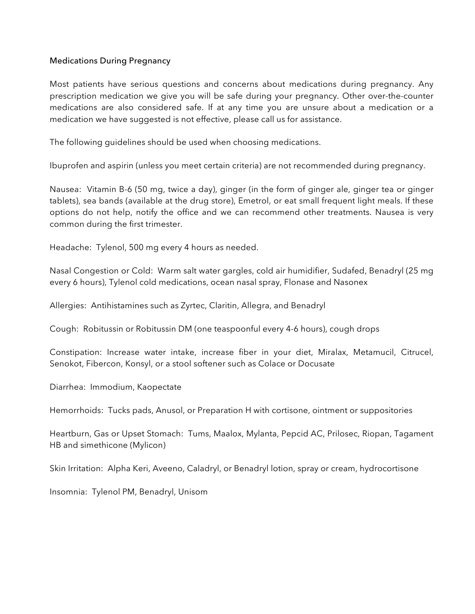### Medications During Pregnancy

Most patients have serious questions and concerns about medications during pregnancy. Any prescription medication we give you will be safe during your pregnancy. Other over-the-counter medications are also considered safe. If at any time you are unsure about a medication or a medication we have suggested is not effective, please call us for assistance.

The following guidelines should be used when choosing medications.

Ibuprofen and aspirin (unless you meet certain criteria) are not recommended during pregnancy.

Nausea: Vitamin B-6 (50 mg, twice a day), ginger (in the form of ginger ale, ginger tea or ginger tablets), sea bands (available at the drug store), Emetrol, or eat small frequent light meals. If these options do not help, notify the office and we can recommend other treatments. Nausea is very common during the first trimester.

Headache: Tylenol, 500 mg every 4 hours as needed.

Nasal Congestion or Cold: Warm salt water gargles, cold air humidifier, Sudafed, Benadryl (25 mg every 6 hours), Tylenol cold medications, ocean nasal spray, Flonase and Nasonex

Allergies: Antihistamines such as Zyrtec, Claritin, Allegra, and Benadryl

Cough: Robitussin or Robitussin DM (one teaspoonful every 4-6 hours), cough drops

Constipation: Increase water intake, increase fiber in your diet, Miralax, Metamucil, Citrucel, Senokot, Fibercon, Konsyl, or a stool softener such as Colace or Docusate

Diarrhea: Immodium, Kaopectate

Hemorrhoids: Tucks pads, Anusol, or Preparation H with cortisone, ointment or suppositories

Heartburn, Gas or Upset Stomach: Tums, Maalox, Mylanta, Pepcid AC, Prilosec, Riopan, Tagament HB and simethicone (Mylicon)

Skin Irritation: Alpha Keri, Aveeno, Caladryl, or Benadryl lotion, spray or cream, hydrocortisone

Insomnia: Tylenol PM, Benadryl, Unisom